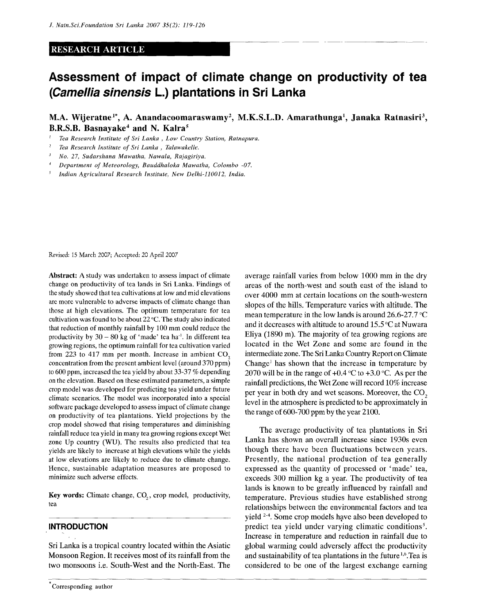### RESEARCH ARTICLE

# **Assessment of impact of climate change on productivity of tea (Camellia sinensis L.) plantations in Sri Lanka**

# **M.A. Wijeratne<sup>1</sup> \*, A. Anandacoomaraswamy<sup>2</sup> , M.K.S.L.D. Amarathunga<sup>1</sup> , Janaka Ratnasiri <sup>3</sup> , B.R.S.B. Basnayake<sup>4</sup> and N. Kalra<sup>5</sup>**

- ' *Tea Research Institute of Sri Lanka , Low Country Station, Ratnapura.*
- *2 Tea Research Institute of Sri Lanka , Talawakelle.*
- *3 No- 27, Sudarshana Mawatha, Nawala, Rajagiriya.*
- *4 Department of Meteorology, Bauddhaloka Mawatha, Colombo -07.*
- *5 Indian Agricultural Research Institute, New Delhi-110012, India.*

Revised: 15 March 2007; Accepted: 20 April 2007

Abstract: A study was undertaken to assess impact of climate change on productivity of tea lands in Sri Lanka. Findings of the study showed that tea cultivations at low and mid elevations are more vulnerable to adverse impacts of climate change than those at high elevations. The optimum temperature for tea cultivation was found to be about 22 °C. The study also indicated that reduction of monthly rainfall by 100 mm could reduce the productivity by  $30 - 80$  kg of 'made' tea ha<sup>-1</sup>. In different tea growing regions, the optimum rainfall for tea cultivation varied from 223 to 417 mm per month. Increase in ambient  $CO<sub>2</sub>$ concentration from the present ambient level (around 370 ppm) to 600 ppm, increased the tea yield by about 33-37 % depending on the elevation. Based on these estimated parameters, a simple crop model was developed for predicting tea yield under future climate scenarios. The model was incorporated into a special software package developed to assess impact of climate change on productivity of tea plantations. Yield projections by the crop model showed that rising temperatures and diminishing rainfall reduce tea yield in many tea growing regions except Wet zone Up country (WU). The results also predicted that tea yields are likely to increase at high elevations while the yields at low elevations are likely to reduce due to climate change. Hence, sustainable adaptation measures are proposed to minimize such adverse effects.

Key words: Climate change, CO<sub>2</sub>, crop model, productivity, tea

### **INTRODUCTION**

Sri Lanka is a tropical country located within the Asiatic Monsoon Region. It receives most of its rainfall from the two monsoons i.e. South-West and the North-East. The average rainfall varies from below 1000 mm in the dry areas of the north-west and south east of the island to over 4000 mm at certain locations on the south-western slopes of the hills. Temperature varies with altitude. The mean temperature in the low lands is around 26.6-27.7 °C and it decreases with altitude to around 15.5 °C at Nuwara Eliya (1890 m). The majority of tea growing regions are located in the Wet Zone and some are found in the intermediate zone. The Sri Lanka Country Report on Climate Change<sup>1</sup> has shown that the increase in temperature by 2070 will be in the range of  $+0.4$  °C to  $+3.0$  °C. As per the rainfall predictions, the Wet Zone will record 10% increase per year in both dry and wet seasons. Moreover, the CO<sub>2</sub> level in the atmosphere is predicted to be approximately in the range of 600-700 ppm by the year 2100.

The average productivity of tea plantations in Sri Lanka has shown an overall increase since 1930s even though there have been fluctuations between years. Presently, the national production of tea generally expressed as the quantity of processed or 'made' tea, exceeds 300 million kg a year. The productivity of tea lands is known to be greatly influenced by rainfall and temperature. Previous studies have established strong relationships between the environmental factors and tea yield <sup>2-4</sup>. Some crop models have also been developed to predict tea yield under varying climatic conditions<sup>5</sup>. Increase in temperature and reduction in rainfall due to global warming could adversely affect the productivity and sustainability of tea plantations in the future  $1.6$ . Tea is considered to be one of the largest exchange earning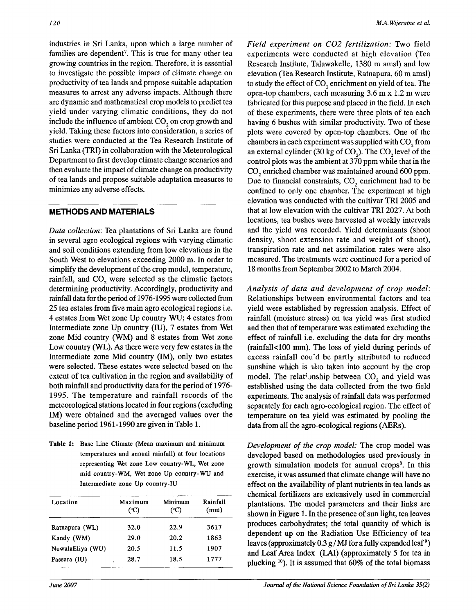industries in Sri Lanka, upon which a large number of families are dependent<sup>7</sup>. This is true for many other tea growing countries in the region. Therefore, it is essential to investigate the possible impact of climate change on productivity of tea lands and propose suitable adaptation measures to arrest any adverse impacts. Although there are dynamic and mathematical crop models to predict tea yield under varying climatic conditions, they do not include the influence of ambient CO<sub>2</sub> on crop growth and yield. Taking these factors into consideration, a series of studies were conducted at the Tea Research Institute of Sri Lanka (TRI) in collaboration with the Meteorological Department to first develop climate change scenarios and then evaluate the impact of climate change on productivity of tea lands and propose suitable adaptation measures to minimize any adverse effects.

## **METHODS AND MATERIALS**

*Data collection:* Tea plantations of Sri Lanka are found in several agro ecological regions with varying climatic and soil conditions extending from low elevations in the South West to elevations exceeding 2000 m. In order to simplify the development of the crop model, temperature, rainfall, and CO<sub>2</sub> were selected as the climatic factors determining productivity. Accordingly, productivity and rainfall data for the period of 1976-1995 were collected from 25 tea estates from five main agro ecological regions i.e. 4 estates from Wet zone Up country WU; 4 estates from Intermediate zone Up country (IU), 7 estates from Wet zone Mid country (WM) and 8 estates from Wet zone Low country (WL). As there were very few estates in the Intermediate zone Mid country (IM), only two estates were selected. These estates were selected based on the extent of tea cultivation in the region and availability of both rainfall and productivity data for the period of 1976- 1995. The temperature and rainfall records of the meteorological stations located in four regions (excluding IM) were obtained and the averaged values over the baseline period 1961-1990 are given in Table 1.

**Table 1:** Base Line Climate (Mean maximum and minimum temperatures and annual rainfall) at four locations representing Wet zone Low country-WL, Wet zone mid country-WM, Wet zone Up country-WU and Intermediate zone Up country-IU

| Location         | Maximum<br>$({}^{\circ}C)$ | Minimum<br>(°C) | Rainfall<br>(mm) |  |
|------------------|----------------------------|-----------------|------------------|--|
| Ratnapura (WL)   | 32.0                       | 22.9            | 3617             |  |
| Kandy (WM)       | 29.0                       | 20.2            | 1863             |  |
| NuwalaEliya (WU) | 20.5                       | 11.5            | 1907             |  |
| Passara (IU)     | 28.7                       | 18.5            | 1777             |  |

*Field experiment on C02 fertilization:* Two field experiments were conducted at high elevation (Tea Research Institute, Talawakelle, 1380 m amsl) and low elevation (Tea Research Institute, Ratnapura, 60 m amsl) to study the effect of CO<sub>2</sub> enrichment on yield of tea. The open-top chambers, each measuring 3.6 m x 1.2 m were fabricated for this purpose and placed in the field. In each of these experiments, there were three plots of tea each having 6 bushes with similar productivity. Two of these plots were covered by open-top chambers. One of the chambers in each experiment was supplied with  $CO<sub>2</sub>$  from an external cylinder (30 kg of  $CO<sub>2</sub>$ ). The  $CO<sub>2</sub>$  level of the control plots was the ambient at 370 ppm while that in the CO<sub>2</sub> enriched chamber was maintained around 600 ppm. Due to financial constraints, CO<sub>2</sub> enrichment had to be confined to only one chamber. The experiment at high elevation was conducted with the cultivar TRI 2005 and that at low elevation with the cultivar TRI 2027. At both locations, tea bushes were harvested at weekly intervals and the yield was recorded. Yield determinants (shoot density, shoot extension rate and weight of shoot), transpiration rate and net assimilation rates were also measured. The treatments were continued for a period of 18 months from September 2002 to March 2004.

*Analysis of data and development of crop model:*  Relationships between environmental factors and tea yield were established by regression analysis. Effect of rainfall (moisture stress) on tea yield was first studied and then that of temperature was estimated excluding the effect of rainfall i.e. excluding the data for dry months (rainfall<100 mm). The loss of yield during periods of excess rainfall cou'd be partly attributed to reduced sunshine which is also taken into account by the crop model. The relationship between  $CO<sub>2</sub>$  and yield was established using the data collected from the two field experiments. The analysis of rainfall data was performed separately for each agro-ecological region. The effect of temperature on tea yield was estimated by pooling the data from all the agro-ecological regions (AERs).

*Development of the crop model:* The crop model was developed based on methodologies used previously in growth simulation models for annual crops<sup>8</sup>. In this exercise, it was assumed that climate change will have no effect on the availability of plant nutrients in tea lands as chemical fertilizers are extensively used in commercial plantations. The model parameters and their links are shown in Figure 1. In the presence of sun light, tea leaves produces carbohydrates; the\* total quantity of which is dependent up on the Radiation Use Efficiency of tea leaves (approximately  $0.3 g/MJ$  for a fully expanded leaf<sup>9</sup>) and Leaf Area Index (LAI) (approximately 5 for tea in plucking <sup>10</sup>). It is assumed that 60% of the total biomass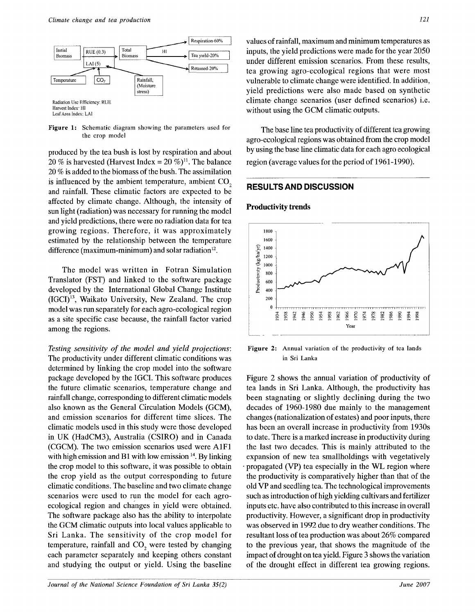

**Figure 1:** Schematic diagram showing the parameters used for the crop model

produced by the tea bush is lost by respiration and about 20 % is harvested (Harvest Index =  $20\%$ )<sup>11</sup>. The balance 20 % is added to the biomass of the bush. The assimilation is influenced by the ambient temperature, ambient  $CO<sub>2</sub>$ and rainfall. These climatic factors are expected to be affected by climate change. Although, the intensity of sun light (radiation) was necessary for running the model and yield predictions, there were no radiation data for tea growing regions. Therefore, it was approximately estimated by the relationship between the temperature difference (maximum-minimum) and solar radiation<sup>12</sup>.

The model was written in Fotran Simulation Translator (FST) and linked to the software package developed by the International Global Change Institute (IGCI)<sup>13</sup>, Waikato University, New Zealand. The crop model was run separately for each agro-ecological region as a site specific case because, the rainfall factor varied among the regions.

*Testing sensitivity of the model and yield projections:*  The productivity under different climatic conditions was determined by linking the crop model into the software package developed by the IGCL This software produces the future climatic scenarios, temperature change and rainfall change, corresponding to different climatic models also known as the General Circulation Models (GCM), and emission scenarios for different time slices. The climatic models used in this study were those developed in UK (HadCM3), Australia (CSIRO) and in Canada (CGCM). The two emission scenarios used were A1F1 with high emission and B1 with low emission  $14$ . By linking the crop model to this software, it was possible to obtain the crop yield as the output corresponding to future climatic conditions. The baseline and two climate change scenarios were used to run the model for each agroecological region and changes in yield were obtained. The software package also has the ability to interpolate the GCM climatic outputs into local values applicable to Sri Lanka. The sensitivity of the crop model for temperature, rainfall and  $CO<sub>2</sub>$  were tested by changing each parameter separately and keeping others constant and studying the output or yield. Using the baseline

values of rainfall, maximum and minimum temperatures as inputs, the yield predictions were made for the year 2050 under different emission scenarios. From these results, tea growing agro-ecological regions that were most vulnerable to climate change were identified. In addition, yield predictions were also made based on synthetic climate- change scenarios (user defined scenarios) i.e. without using the GCM climatic outputs.

The base line tea productivity of different tea growing agro-ecological regions was obtained from the crop model by using the base line climatic data for each agro ecological region (average values for the period of 1961-1990).

# **RESULTS AND DISCUSSION**

## Productivity trends



**Figure 2:** Annual variation of the productivity of tea lands in Sri Lanka

Figure 2 shows the annual variation of productivity of tea lands in Sri Lanka. Although, the productivity has been stagnating or slightly declining during the two decades of 1960-1980 due mainly to the management changes (nationalization of estates) and poor inputs, there has been an overall increase in productivity from 1930s to date. There is a marked increase in productivity during the last two decades. This is mainly attributed to the expansion of new tea smallholdings with vegetatively propagated (VP) tea especially in the WL region where the productivity is comparatively higher than that of the old VP and seedling tea. The technological improvements such as introduction of high yielding cultivars and fertilizer inputs etc. have also contributed to this increase in overall productivity. However, a significant drop in productivity was observed in 1992 due to dry weather conditions. The resultant loss of tea production was about 26% compared to the previous year, that shows the magnitude of the impact of drought on tea yield. Figure 3 shows the variation of the drought effect in different tea growing regions.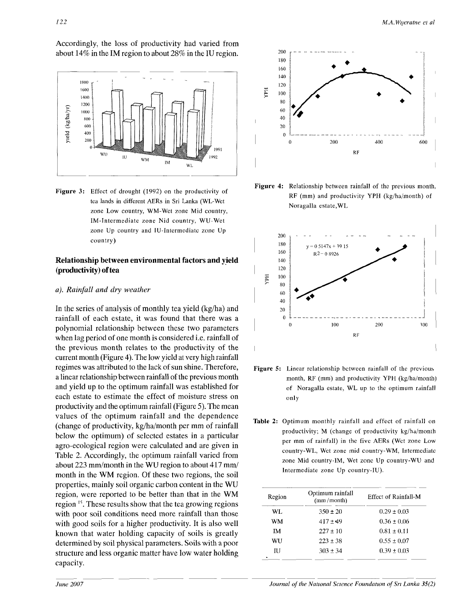Accordingly, the loss of productivity had varied from about 14% in the IM region to about 28% in the IU region.



**Figure 3:** Effect of drought (1992) on the productivity of tea lands in different AERs in Sri Lanka (WL-Wet zone Low country, WM-Wet zone Mid country, IM-Intermediate zone Nid country, WU-Wet zone Up country and IU-Intcrmediatc zone Up country)

# **Relationship between environmental factors and yield (productivity) of tea**

## *a). Rainfall and dry weather*

In the series of analysis of monthly tea yield (kg/ha) and rainfall of each estate, it was found that there was a polynomial relationship between these two parameters when lag period of one month is considered i.e. rainfall of the previous month relates to the productivity of the current month (Figure 4). The low yield at very high rainfall regimes was attributed to the lack of sun shine. Therefore, a linear relationship between rainfall of the previous month and yield up to the optimum rainfall was established for each estate to estimate the effect of moisture stress on productivity and the optimum rainfall (Figure 5). The mean values of the optimum rainfall and the dependence (change of productivity, kg/ha/month per mm of rainfall below the optimum) of selected estates in a particular agro-ecological region were calculated and are given in Table 2. Accordingly, the optimum rainfall varied from about 223 mm/month in the WU region to about 417 mm/ month in the WM region. Of these two regions, the soil properties, mainly soil organic carbon content in the WU region, were reported to be better than that in the WM region <sup>15</sup>. These results show that the tea growing regions with poor soil conditions need more rainfall than those with good soils for a higher productivity. It is also well known that water holding capacity of soils is greatly determined by soil physical parameters. Soils with a poor structure and less organic matter have low water holding capacity.



**Figure 4:** Relationship between rainfall of the previous month, RF (mm) and productivity YPH (kg/ha/month) of Noragalla estate,WL



- **Figure 5:** Linear relationship between rainfall of the previous month, RF (mm) and productivity YPH (kg/ha/month) of Noragalla estate, WL up to the optimum rainfall only
- **Table** 2: Optimum monthly rainfall and effect of rainfall on productivity; M (change of productivity kg/ha/month per mm of rainfall) in the five AERs (Wet zone Low country-WL, Wet zone mid country-WM, Intermediate zone Mid country-IM, Wet zone Up country-WU and Intermediate zone Up country-IU).

| Region | Optimum rainfall<br>(mm/month) | <b>Effect of Rainfall-M</b> |  |
|--------|--------------------------------|-----------------------------|--|
| WL.    | $350 \pm 20$                   | $0.29 \pm 0.03$             |  |
| WM     | $417 + 49$                     | $0.36 \pm 0.06$             |  |
| IΜ     | $227 \pm 10$                   | $0.81 \pm 0.11$             |  |
| WU     | $223 \pm 38$                   | $0.55 \pm 0.07$             |  |
| ΠJ     | $303 \pm 34$                   | $0.39 \pm 0.03$             |  |
|        |                                |                             |  |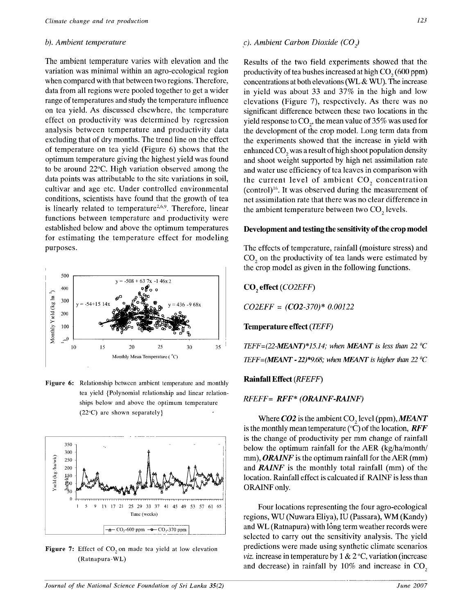The ambient temperature varies with elevation and the variation was minimal within an agro-ecological region when compared with that between two regions. Therefore, data from all regions were pooled together to get a wider range of temperatures and study the temperature influence on tea yield. As discussed elsewhere, the temperature effect on productivity was determined by regression analysis between temperature and productivity data excluding that of dry months. The trend line on the effect of temperature on tea yield (Figure 6) shows that the optimum temperature giving the highest yield was found to be around 22°C. High variation observed among the data points was attributable to the site variations in soil, cultivar and age etc. Under controlled environmental conditions, scientists have found that the growth of tea is linearly related to temperature<sup>2,6,9</sup>. Therefore, linear functions between temperature and productivity were established below and above the optimum temperatures for estimating the temperature effect for modeling purposes.



Figure 6: Relationship between ambient temperature and monthly tea yield {Polynomial relationship and linear relationships below and above the optimum temperature (22°C) are shown separately}



Figure 7: Effect of CO<sub>2</sub> on made tea yield at low elevation (Ratnapura-WL)

### *b*). Ambient temperature c). Ambient Carbon Dioxide (CO<sub>3</sub>)

Results of the two field experiments showed that the productivity of tea bushes increased at high  $CO<sub>2</sub>(600 ppm)$ concentrations at both elevations (WL & WU). The increase in yield was about 33 and 37% in the high and low elevations (Figure 7), respectively. As there was no significant difference between these two locations in the yield response to  $CO<sub>2</sub>$ , the mean value of 35% was used for the development of the crop model. Long term data from the experiments showed that the increase in yield with enhanced CO<sub>2</sub> was a result of high shoot population density and shoot weight supported by high net assimilation rate and water use efficiency of tea leaves in comparison with the current level of ambient  $CO<sub>2</sub>$  concentration (control)<sup>16</sup>. It was observed during the measurement of net assimilation rate that there was no clear difference in the ambient temperature between two  $CO<sub>2</sub>$  levels.

### **Development and testing the sensitivity of the crop model**

The effects of temperature, rainfall (moisture stress) and CO<sub>2</sub> on the productivity of tea lands were estimated by the crop model as given in the following functions.

**C02 effect** *(C02EFF) C02EFF* = *(CO2-370)\* 0.00122*  **Temperature effect** *(JEFF)* 

*TEFF=(22-MEANT)\*15.14; when MEANT is less than 22*  $^{\circ}C$ *TEFF=(MEANT - 22)\*9.68; when MEANT is higher than 22*  $^{\circ}C$ 

### **Rainfall Effect** *(RFEFF)*

### *RFEFF= RFF\* (ORAINF-RAINF)*

Where *CO2* is the ambient CO<sub>2</sub> level (ppm), *MEANT* is the monthly mean temperature  $(°C)$  of the location, *RFF* is the change of productivity per mm change of rainfall below the optimum rainfall for the AER (kg/ha/month/ mm), *ORAINF* is the optimum rainfall for the AER (mm) and *RAINF* is the monthly total rainfall (mm) of the location. Rainfall effect is calcuated if RAINF is less than ORAINF only.

Four locations representing the four agro-ecological regions, WU (Nuwara Eliya), IU (Passara), WM (Kandy) and WL (Ratnapura) with long term weather records were selected to carry out the sensitivity analysis. The yield predictions were made using synthetic climate scenarios *viz.* increase in temperature by  $1 \& 2 \degree C$ , variation (increase and decrease) in rainfall by  $10\%$  and increase in CO<sub>2</sub>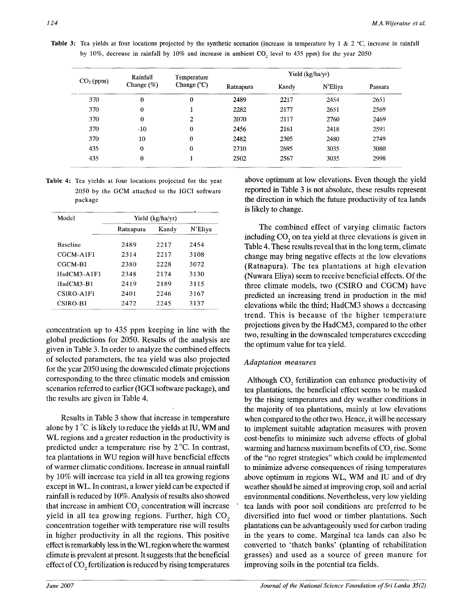Table 3: Tea yields at four locations projected by the synthetic scenarios (increase in temperature by 1 & 2 °C, increase in rainfall by 10%, decrease in rainfall by 10% and increase in ambient  $CO<sub>2</sub>$  level to 435 ppm) for the year 2050

| $CO2$ (ppm) | Rainfall         | Temperature<br>Change $(^{\circ}C)$ | Yield (kg/ha/yr) |       |         |         |
|-------------|------------------|-------------------------------------|------------------|-------|---------|---------|
|             | Change (%)       |                                     | Ratnapura        | Kandy | N'Eliya | Passara |
| 370         | $\boldsymbol{0}$ | $\bf{0}$                            | 2489             | 2217  | 2454    | 2651    |
| 370         | $\theta$         |                                     | 2282             | 2177  | 2651    | 2569    |
| 370         | $\theta$         | 2                                   | 2070             | 2117  | 2760    | 2469    |
| 370         | $-10$            | $\bf{0}$                            | 2456             | 2161  | 2418    | 2591    |
| 370         | 10               | $\bf{0}$                            | 2482             | 2305  | 2480    | 2749    |
| 435         | $\theta$         | $\bf{0}$                            | 2710             | 2695  | 3035    | 3080    |
| 435         | $\bf{0}$         |                                     | 2502             | 2567  | 3035    | 2998    |

**Table 4:** Tea yields at four locations projected for the year 2050 by the GCM attached to the IGCI software package

| Model           | Yield (kg/ha/yr) |       |         |
|-----------------|------------------|-------|---------|
|                 | Ratnapura        | Kandy | N'Eliya |
| <b>Baseline</b> | 2489             | 2217  | 2454    |
| CGCM-A1F1       | 2314             | 2217  | 3108    |
| CGCM-R1         | 2380             | 2228  | 3072    |
| HadCM3-A1F1     | 2348             | 2174  | 3130    |
| HadCM3-B1       | 2419             | 2189  | 3115    |
| CSIRO-A1F1      | 2401             | 2246  | 3167    |
| CSIRO-B1        | 2472             | 2245  | 3137    |

concentration up to 435 ppm keeping in line with the global predictions for 2050. Results of the analysis are given in Table 3. In order to analyze the combined effects of selected parameters, the tea yield was also projected for the year 2050 using the downscaled climate projections corresponding to the three climatic models and emission scenarios referred to earlier (IGCI software package), and the results are given in Table 4.

Results in Table 3 show that increase in temperature alone by  $1^{\circ}$ C is likely to reduce the yields at IU, WM and WL regions and a greater reduction in the productivity is predicted under a temperature rise by 2 °C. In contrast, tea plantations in WU region will have beneficial effects of warmer climatic conditions. Increase in annual rainfall by 10% will increase tea yield in all tea growing regions except in WL. In contrast, a lower yield can be expected if rainfall is reduced by 10%. Analysis of results also showed that increase in ambient  $CO$ , concentration will increase yield in all tea growing regions. Further, high  $CO<sub>2</sub>$ concentration together with temperature rise will results in higher productivity in all the regions. This positive effect is remarkably less in the WL region where the warmest climate is prevalent at present. It suggests that the beneficial effect of  $CO<sub>2</sub>$  fertilization is reduced by rising temperatures

above optimum at low elevations. Even though the yield reported in Table 3 is not absolute, these results represent the direction in which the future productivity of tea lands is likely to change.

The combined effect of varying climatic factors including CO<sub>2</sub> on tea yield at three elevations is given in Table 4. These results reveal that in the long term, climate change may bring negative effects at the low elevations (Ratnapura). The tea plantations at high elevation (Nuwara Eliya) seem to receive beneficial effects. Of the three climate models, two (CSIRO and CGCM) have predicted an increasing trend in production in the mid elevations while the third; HadCM3 shows a decreasing trend. This is because of the higher temperature projections given by the HadCM3, compared to the other two, resulting in the downscaled temperatures exceeding the optimum value for tea yield.

# *Adaptation measures*

Although  $CO<sub>2</sub>$  fertilization can enhance productivity of tea plantations, the beneficial effect seems to be masked by the rising temperatures and dry weather conditions in the majority of tea plantations, mainly at low elevations when compared to the other two. Hence, it will be necessary to implement suitable adaptation measures with proven cost-benefits to minimize such adverse effects of global warming and harness maximum benefits of  $CO<sub>2</sub>$  rise. Some of the "no regret strategies" which could be implemented to minimize adverse consequences of rising temperatures above optimum in regions WL, WM and IU and of dry weather should be aimed at improving crop, soil and aerial environmental conditions. Nevertheless, very low yielding tea lands with poor soil conditions are preferred to be diversified into fuel wood or timber plantations. Such plantations can be advantageously used for carbon trading in the years to come. Marginal tea lands can also be converted to 'thatch banks' (planting of rehabilitation grasses) and used as a source of green manure for improving soils in the potential tea fields.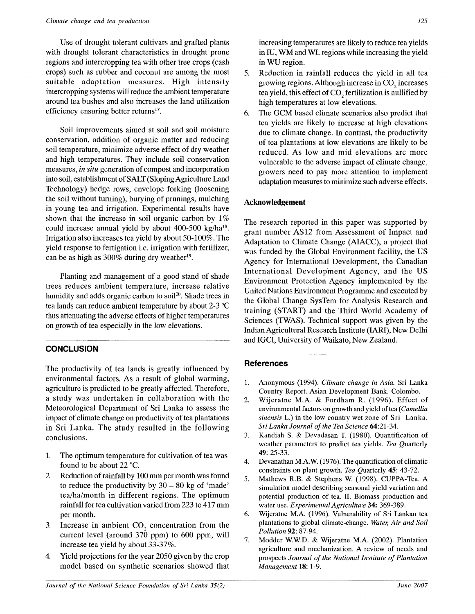Use of drought tolerant cultivars and grafted plants with drought tolerant characteristics in drought prone regions and intercropping tea with other tree crops (cash crops) such as rubber and coconut are among the most suitable adaptation measures. High intensity intercropping systems will reduce the ambient temperature around tea bushes and also increases the land utilization efficiency ensuring better returns<sup>17</sup>.

Soil improvements aimed at soil and soil moisture conservation, addition of organic matter and reducing soil temperature, minimize adverse effect of dry weather and high temperatures. They include soil conservation measures, *in situ* generation of compost and incorporation into soil, establishment of SALT (Sloping Agriculture Land Technology) hedge rows, envelope forking (loosening the soil without turning), burying of prunings, mulching in young tea and irrigation. Experimental results have shown that the increase in soil organic carbon by 1% could increase annual yield by about 400-500 kg/ha<sup>18</sup>. Irrigation also increases tea yield by about 50-100%. The yield response to fertigation i.e. irrigation with fertilizer, can be as high as  $300\%$  during dry weather<sup>19</sup>.

Planting and management of a good stand of shade trees reduces ambient temperature, increase relative humidity and adds organic carbon to soil<sup>20</sup>. Shade trees in tea lands can reduce ambient temperature by about 2-3 °C thus attenuating the adverse effects of higher temperatures on growth of tea especially in the low elevations.

# **CONCLUSION**

The productivity of tea lands is greatly influenced by environmental factors. As a result of global warming, agriculture is predicted to be greatly affected. Therefore, a study was undertaken in collaboration with the Meteorological Department of Sri Lanka to assess the impact of climate change on productivity of tea plantations in Sri Lanka. The study resulted in the following conclusions.

- 1. The optimum temperature for cultivation of tea was found to be about 22 °C.
- 2. Reduction of rainfall by 100 mm per month was found to reduce the productivity by  $30 - 80$  kg of 'made' tea/ha/month in different regions. The optimum rainfall for tea cultivation varied from 223 to 417 mm per month.
- 3. Increase in ambient  $CO<sub>2</sub>$  concentration from the current level (around 370 ppm) to 600 ppm, will increase tea yield by about 33-37%.
- 4. Yield projections for the year 2050 given by the crop model based on synthetic scenarios showed that

increasing temperatures are likely to reduce tea yields in IU, WM and WL regions while increasing the yield in WU region.

- 5. Reduction in rainfall reduces the yield in all tea growing regions. Although increase in CO<sub>2</sub> increases tea yield, this effect of CO<sub>2</sub> fertilization is nullified by high temperatures at low elevations.
- 6. The GCM based climate scenarios also predict that tea yields are likely to increase at high elevations due to climate change. In contrast, the productivity of tea plantations at low elevations are likely to be reduced. As low and mid elevations are more vulnerable to the adverse impact of climate change, growers need to pay more attention to implement adaptation measures to minimize such adverse effects.

## **Acknowledgement**

The research reported in this paper was supported by grant number AS12 from Assessment of Impact and Adaptation to Climate Change (AIACC), a project that was funded by the Global Environment facility, the US Agency for International Development, the Canadian International Development Agency, and the US Environment Protection Agency implemented by the United Nations Environment Programme and executed by the Global Change SysTem for Analysis Research and training (START) and the Third World Academy of Sciences (TWAS). Technical support was given by the Indian Agricultural Research Institute (IARI), New Delhi and IGCI, University of Waikato, New Zealand.

### References

- 1. Anonymous (1994). *Climate change in Asia.* Sri Lanka Country Report. Asian Development Bank. Colombo.
- 2. Wijeratne M.A. & Fordham R. (1996). Effect of environmental factors on growth and yield of tea *(Camellia sinensis* L.) in the low country wet zone of Sri Lanka. *Sri Lanka Journal of the Tea Science* 64:21-34.
- 3. Kandiah S. & Devadasan T. (1980). Quantification of weather parameters to predict tea yields. *Tea* Quarterly 49: 25-33.
- 4. Devanathan MA.W. (1976). The quantification of climatic constraints on plant growth. *Tea* Quarterly 45: 43-72.
- 5. Mathews R.B. & Stephens W. (1998). CUPPA-Tea. A simulation model describing seasonal yield variation and potential production of tea. II. Biomass production and water use. *Experimental Agriculture* 34: 369-389.
- 6. Wijeratne M.A. (1996). Vulnerability of Sri Lankan tea plantations to global climate-change. *Water, Air and Soil Pollution* 92: 87-94.
- 7. Modder W.W.D. & Wijeratne M.A. (2002). Plantation agriculture and mechanization. A review of needs and prospects *Journal of the National Institute of Plantation Management 1%:* 1-9.